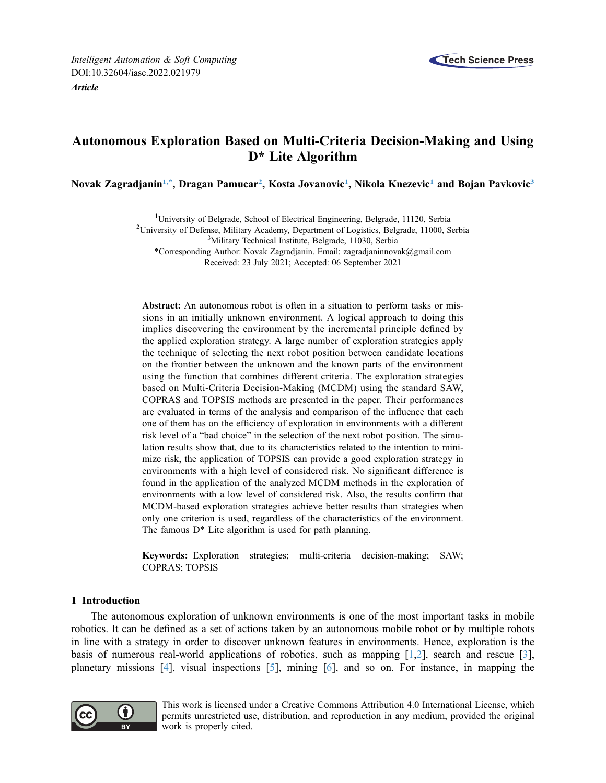

# Autonomous Exploration Based on Multi-Criteria Decision-Making and Using D\* Lite Algorithm

<span id="page-0-3"></span><span id="page-0-2"></span><span id="page-0-1"></span><span id="page-0-0"></span>Novak Zagradjanin<sup>1[,\\*](#page-0-1)</sup>, Dragan Pamucar<sup>2</sup>, Kosta Jovanovic<sup>1</sup>, Nikola Knezevic<sup>1</sup> and Bojan Pavkovic<sup>3</sup>

<sup>1</sup>University of Belgrade, School of Electrical Engineering, Belgrade, 11120, Serbia <sup>2</sup>University of Defense Military Acedemy Department of Logistics, Belgrade, 11000, S

<sup>2</sup>University of Defense, Military Academy, Department of Logistics, Belgrade, 11000, Serbia

<sup>3</sup>Military Technical Institute, Belgrade, 11030, Serbia

\*Corresponding Author: Novak Zagradjanin. Email: [zagradjaninnovak@gmail.com](mailto:zagradjaninnovak@gmail.com) Received: 23 July 2021; Accepted: 06 September 2021

Abstract: An autonomous robot is often in a situation to perform tasks or missions in an initially unknown environment. A logical approach to doing this implies discovering the environment by the incremental principle defined by the applied exploration strategy. A large number of exploration strategies apply the technique of selecting the next robot position between candidate locations on the frontier between the unknown and the known parts of the environment using the function that combines different criteria. The exploration strategies based on Multi-Criteria Decision-Making (MCDM) using the standard SAW, COPRAS and TOPSIS methods are presented in the paper. Their performances are evaluated in terms of the analysis and comparison of the influence that each one of them has on the efficiency of exploration in environments with a different risk level of a "bad choice" in the selection of the next robot position. The simulation results show that, due to its characteristics related to the intention to minimize risk, the application of TOPSIS can provide a good exploration strategy in environments with a high level of considered risk. No significant difference is found in the application of the analyzed MCDM methods in the exploration of environments with a low level of considered risk. Also, the results confirm that MCDM-based exploration strategies achieve better results than strategies when only one criterion is used, regardless of the characteristics of the environment. The famous  $D^*$  Lite algorithm is used for path planning.

Keywords: Exploration strategies; multi-criteria decision-making; SAW; COPRAS; TOPSIS

## 1 Introduction

The autonomous exploration of unknown environments is one of the most important tasks in mobile robotics. It can be defined as a set of actions taken by an autonomous mobile robot or by multiple robots in line with a strategy in order to discover unknown features in environments. Hence, exploration is the basis of numerous real-world applications of robotics, such as mapping  $[1,2]$  $[1,2]$  $[1,2]$ , search and rescue  $[3]$ , planetary missions [\[4\]](#page-14-3), visual inspections [[5](#page-14-4)], mining [\[6\]](#page-14-5), and so on. For instance, in mapping the



This work is licensed under a Creative Commons Attribution 4.0 International License, which permits unrestricted use, distribution, and reproduction in any medium, provided the original work is properly cited.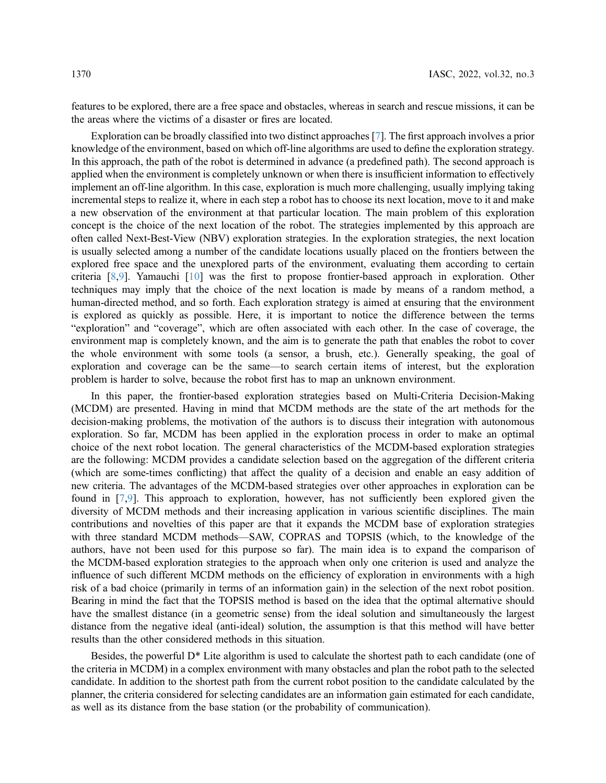features to be explored, there are a free space and obstacles, whereas in search and rescue missions, it can be the areas where the victims of a disaster or fires are located.

Exploration can be broadly classified into two distinct approaches [\[7\]](#page-14-6). The first approach involves a prior knowledge of the environment, based on which off-line algorithms are used to define the exploration strategy. In this approach, the path of the robot is determined in advance (a predefined path). The second approach is applied when the environment is completely unknown or when there is insufficient information to effectively implement an off-line algorithm. In this case, exploration is much more challenging, usually implying taking incremental steps to realize it, where in each step a robot has to choose its next location, move to it and make a new observation of the environment at that particular location. The main problem of this exploration concept is the choice of the next location of the robot. The strategies implemented by this approach are often called Next-Best-View (NBV) exploration strategies. In the exploration strategies, the next location is usually selected among a number of the candidate locations usually placed on the frontiers between the explored free space and the unexplored parts of the environment, evaluating them according to certain criteria [[8](#page-14-7)[,9\]](#page-14-8). Yamauchi [[10\]](#page-14-9) was the first to propose frontier-based approach in exploration. Other techniques may imply that the choice of the next location is made by means of a random method, a human-directed method, and so forth. Each exploration strategy is aimed at ensuring that the environment is explored as quickly as possible. Here, it is important to notice the difference between the terms "exploration" and "coverage", which are often associated with each other. In the case of coverage, the environment map is completely known, and the aim is to generate the path that enables the robot to cover the whole environment with some tools (a sensor, a brush, etc.). Generally speaking, the goal of exploration and coverage can be the same—to search certain items of interest, but the exploration problem is harder to solve, because the robot first has to map an unknown environment.

In this paper, the frontier-based exploration strategies based on Multi-Criteria Decision-Making (MCDM) are presented. Having in mind that MCDM methods are the state of the art methods for the decision-making problems, the motivation of the authors is to discuss their integration with autonomous exploration. So far, MCDM has been applied in the exploration process in order to make an optimal choice of the next robot location. The general characteristics of the MCDM-based exploration strategies are the following: MCDM provides a candidate selection based on the aggregation of the different criteria (which are some-times conflicting) that affect the quality of a decision and enable an easy addition of new criteria. The advantages of the MCDM-based strategies over other approaches in exploration can be found in [[7](#page-14-6),[9](#page-14-8)]. This approach to exploration, however, has not sufficiently been explored given the diversity of MCDM methods and their increasing application in various scientific disciplines. The main contributions and novelties of this paper are that it expands the MCDM base of exploration strategies with three standard MCDM methods—SAW, COPRAS and TOPSIS (which, to the knowledge of the authors, have not been used for this purpose so far). The main idea is to expand the comparison of the MCDM-based exploration strategies to the approach when only one criterion is used and analyze the influence of such different MCDM methods on the efficiency of exploration in environments with a high risk of a bad choice (primarily in terms of an information gain) in the selection of the next robot position. Bearing in mind the fact that the TOPSIS method is based on the idea that the optimal alternative should have the smallest distance (in a geometric sense) from the ideal solution and simultaneously the largest distance from the negative ideal (anti-ideal) solution, the assumption is that this method will have better results than the other considered methods in this situation.

Besides, the powerful D\* Lite algorithm is used to calculate the shortest path to each candidate (one of the criteria in MCDM) in a complex environment with many obstacles and plan the robot path to the selected candidate. In addition to the shortest path from the current robot position to the candidate calculated by the planner, the criteria considered for selecting candidates are an information gain estimated for each candidate, as well as its distance from the base station (or the probability of communication).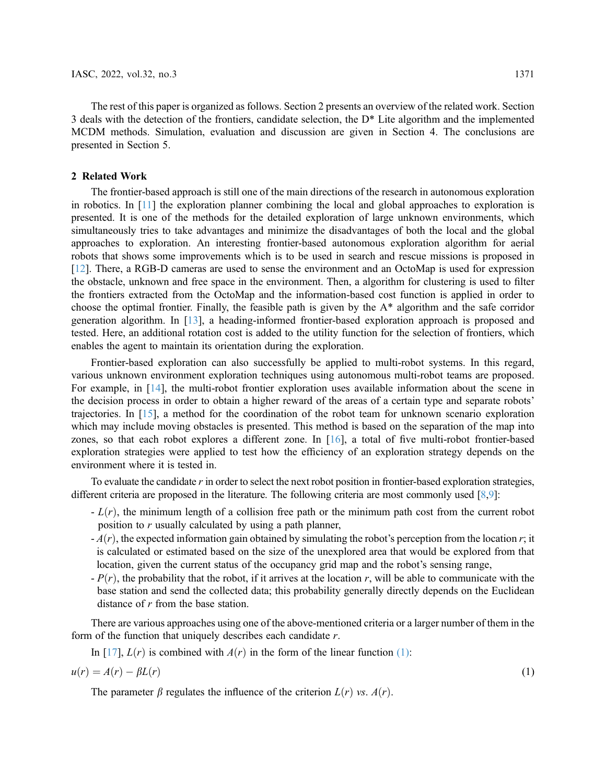The rest of this paper is organized as follows. Section 2 presents an overview of the related work. Section 3 deals with the detection of the frontiers, candidate selection, the D\* Lite algorithm and the implemented MCDM methods. Simulation, evaluation and discussion are given in Section 4. The conclusions are presented in Section 5.

## 2 Related Work

The frontier-based approach is still one of the main directions of the research in autonomous exploration in robotics. In [\[11\]](#page-15-0) the exploration planner combining the local and global approaches to exploration is presented. It is one of the methods for the detailed exploration of large unknown environments, which simultaneously tries to take advantages and minimize the disadvantages of both the local and the global approaches to exploration. An interesting frontier-based autonomous exploration algorithm for aerial robots that shows some improvements which is to be used in search and rescue missions is proposed in [[12](#page-15-1)]. There, a RGB-D cameras are used to sense the environment and an OctoMap is used for expression the obstacle, unknown and free space in the environment. Then, a algorithm for clustering is used to filter the frontiers extracted from the OctoMap and the information-based cost function is applied in order to choose the optimal frontier. Finally, the feasible path is given by the  $A^*$  algorithm and the safe corridor generation algorithm. In [[13](#page-15-2)], a heading-informed frontier-based exploration approach is proposed and tested. Here, an additional rotation cost is added to the utility function for the selection of frontiers, which enables the agent to maintain its orientation during the exploration.

Frontier-based exploration can also successfully be applied to multi-robot systems. In this regard, various unknown environment exploration techniques using autonomous multi-robot teams are proposed. For example, in [[14\]](#page-15-3), the multi-robot frontier exploration uses available information about the scene in the decision process in order to obtain a higher reward of the areas of a certain type and separate robots' trajectories. In [[15\]](#page-15-4), a method for the coordination of the robot team for unknown scenario exploration which may include moving obstacles is presented. This method is based on the separation of the map into zones, so that each robot explores a different zone. In [\[16](#page-15-5)], a total of five multi-robot frontier-based exploration strategies were applied to test how the efficiency of an exploration strategy depends on the environment where it is tested in.

To evaluate the candidate r in order to select the next robot position in frontier-based exploration strategies, different criteria are proposed in the literature. The following criteria are most commonly used [[8](#page-14-7),[9](#page-14-8)]:

- $-L(r)$ , the minimum length of a collision free path or the minimum path cost from the current robot position to  $r$  usually calculated by using a path planner,
- $-A(r)$ , the expected information gain obtained by simulating the robot's perception from the location r; it is calculated or estimated based on the size of the unexplored area that would be explored from that location, given the current status of the occupancy grid map and the robot's sensing range,
- $-P(r)$ , the probability that the robot, if it arrives at the location r, will be able to communicate with the base station and send the collected data; this probability generally directly depends on the Euclidean distance of r from the base station.

There are various approaches using one of the above-mentioned criteria or a larger number of them in the form of the function that uniquely describes each candidate r.

<span id="page-2-0"></span>In [[17\]](#page-15-6),  $L(r)$  is combined with  $A(r)$  in the form of the linear function [\(1\):](#page-2-0)

$$
u(r) = A(r) - \beta L(r) \tag{1}
$$

The parameter  $\beta$  regulates the influence of the criterion  $L(r)$  vs.  $A(r)$ .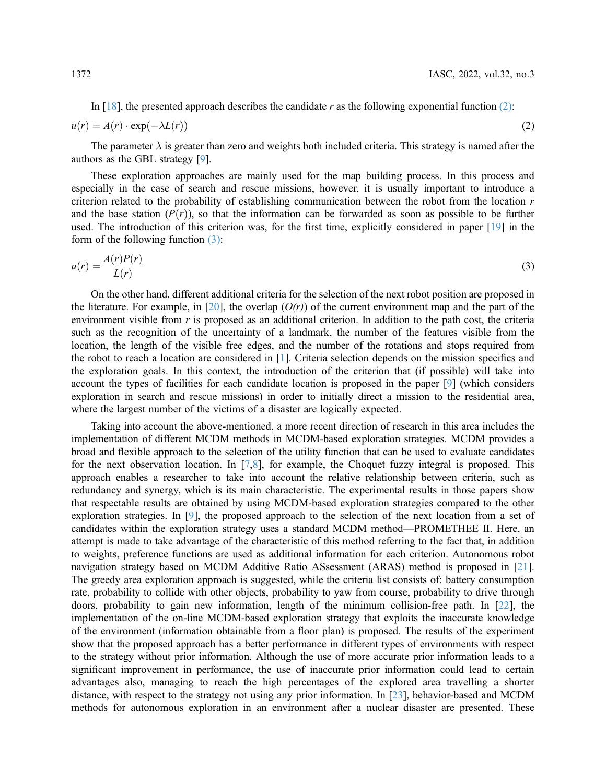<span id="page-3-0"></span>In  $[18]$  $[18]$ , the presented approach describes the candidate r as the following exponential function [\(2\)](#page-3-0):  $u(r) = A(r) \cdot \exp(-\lambda L(r))$  $\lambda L(r)$ ) (2)

The parameter  $\lambda$  is greater than zero and weights both included criteria. This strategy is named after the authors as the GBL strategy [\[9\]](#page-14-8).

These exploration approaches are mainly used for the map building process. In this process and especially in the case of search and rescue missions, however, it is usually important to introduce a criterion related to the probability of establishing communication between the robot from the location  $r$ and the base station  $(P(r))$ , so that the information can be forwarded as soon as possible to be further used. The introduction of this criterion was, for the first time, explicitly considered in paper [[19\]](#page-15-8) in the form of the following function [\(3\):](#page-3-1)

<span id="page-3-1"></span>
$$
u(r) = \frac{A(r)P(r)}{L(r)}
$$
\n(3)

On the other hand, different additional criteria for the selection of the next robot position are proposed in the literature. For example, in [[20\]](#page-15-9), the overlap  $(O(r))$  of the current environment map and the part of the environment visible from  $r$  is proposed as an additional criterion. In addition to the path cost, the criteria such as the recognition of the uncertainty of a landmark, the number of the features visible from the location, the length of the visible free edges, and the number of the rotations and stops required from the robot to reach a location are considered in [[1](#page-14-0)]. Criteria selection depends on the mission specifics and the exploration goals. In this context, the introduction of the criterion that (if possible) will take into account the types of facilities for each candidate location is proposed in the paper [[9](#page-14-8)] (which considers exploration in search and rescue missions) in order to initially direct a mission to the residential area, where the largest number of the victims of a disaster are logically expected.

Taking into account the above-mentioned, a more recent direction of research in this area includes the implementation of different MCDM methods in MCDM-based exploration strategies. MCDM provides a broad and flexible approach to the selection of the utility function that can be used to evaluate candidates for the next observation location. In [\[7,](#page-14-6)[8\]](#page-14-7), for example, the Choquet fuzzy integral is proposed. This approach enables a researcher to take into account the relative relationship between criteria, such as redundancy and synergy, which is its main characteristic. The experimental results in those papers show that respectable results are obtained by using MCDM-based exploration strategies compared to the other exploration strategies. In [[9](#page-14-8)], the proposed approach to the selection of the next location from a set of candidates within the exploration strategy uses a standard MCDM method—PROMETHEE II. Here, an attempt is made to take advantage of the characteristic of this method referring to the fact that, in addition to weights, preference functions are used as additional information for each criterion. Autonomous robot navigation strategy based on MCDM Additive Ratio ASsessment (ARAS) method is proposed in [[21\]](#page-15-10). The greedy area exploration approach is suggested, while the criteria list consists of: battery consumption rate, probability to collide with other objects, probability to yaw from course, probability to drive through doors, probability to gain new information, length of the minimum collision-free path. In [[22\]](#page-15-11), the implementation of the on-line MCDM-based exploration strategy that exploits the inaccurate knowledge of the environment (information obtainable from a floor plan) is proposed. The results of the experiment show that the proposed approach has a better performance in different types of environments with respect to the strategy without prior information. Although the use of more accurate prior information leads to a significant improvement in performance, the use of inaccurate prior information could lead to certain advantages also, managing to reach the high percentages of the explored area travelling a shorter distance, with respect to the strategy not using any prior information. In [[23](#page-15-12)], behavior-based and MCDM methods for autonomous exploration in an environment after a nuclear disaster are presented. These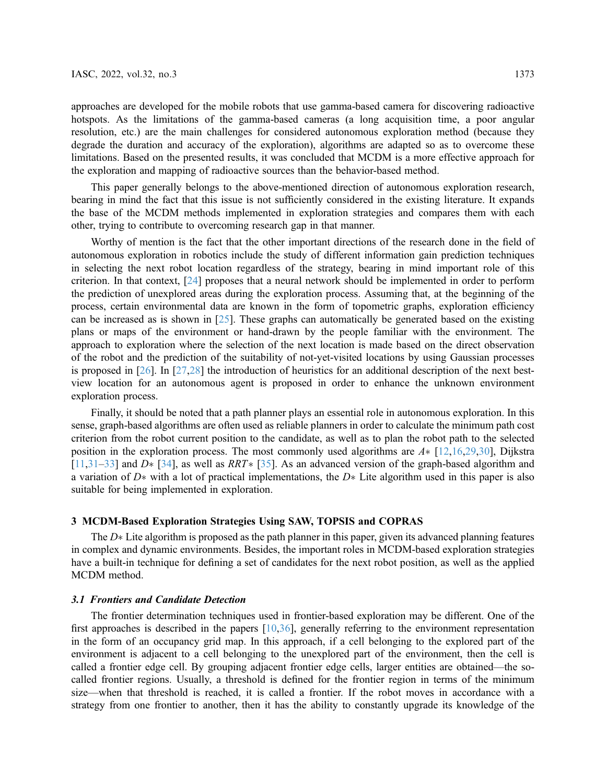approaches are developed for the mobile robots that use gamma-based camera for discovering radioactive hotspots. As the limitations of the gamma-based cameras (a long acquisition time, a poor angular resolution, etc.) are the main challenges for considered autonomous exploration method (because they degrade the duration and accuracy of the exploration), algorithms are adapted so as to overcome these limitations. Based on the presented results, it was concluded that MCDM is a more effective approach for the exploration and mapping of radioactive sources than the behavior-based method.

This paper generally belongs to the above-mentioned direction of autonomous exploration research, bearing in mind the fact that this issue is not sufficiently considered in the existing literature. It expands the base of the MCDM methods implemented in exploration strategies and compares them with each other, trying to contribute to overcoming research gap in that manner.

Worthy of mention is the fact that the other important directions of the research done in the field of autonomous exploration in robotics include the study of different information gain prediction techniques in selecting the next robot location regardless of the strategy, bearing in mind important role of this criterion. In that context, [\[24](#page-15-13)] proposes that a neural network should be implemented in order to perform the prediction of unexplored areas during the exploration process. Assuming that, at the beginning of the process, certain environmental data are known in the form of topometric graphs, exploration efficiency can be increased as is shown in [\[25](#page-15-14)]. These graphs can automatically be generated based on the existing plans or maps of the environment or hand-drawn by the people familiar with the environment. The approach to exploration where the selection of the next location is made based on the direct observation of the robot and the prediction of the suitability of not-yet-visited locations by using Gaussian processes is proposed in [\[26](#page-15-15)]. In [[27,](#page-15-16)[28\]](#page-15-17) the introduction of heuristics for an additional description of the next bestview location for an autonomous agent is proposed in order to enhance the unknown environment exploration process.

Finally, it should be noted that a path planner plays an essential role in autonomous exploration. In this sense, graph-based algorithms are often used as reliable planners in order to calculate the minimum path cost criterion from the robot current position to the candidate, as well as to plan the robot path to the selected position in the exploration process. The most commonly used algorithms are  $A*$  [[12,](#page-15-1)[16,](#page-15-5)[29](#page-15-18),[30\]](#page-15-19), Dijkstra [[11](#page-15-0),[31](#page-16-0)–[33](#page-16-1)] and  $D^*$  [[34\]](#page-16-2), as well as  $RRT^*$  [\[35](#page-16-3)]. As an advanced version of the graph-based algorithm and a variation of  $D^*$  with a lot of practical implementations, the  $D^*$  Lite algorithm used in this paper is also suitable for being implemented in exploration.

## 3 MCDM-Based Exploration Strategies Using SAW, TOPSIS and COPRAS

The  $D^*$  Lite algorithm is proposed as the path planner in this paper, given its advanced planning features in complex and dynamic environments. Besides, the important roles in MCDM-based exploration strategies have a built-in technique for defining a set of candidates for the next robot position, as well as the applied MCDM method.

## 3.1 Frontiers and Candidate Detection

The frontier determination techniques used in frontier-based exploration may be different. One of the first approaches is described in the papers  $[10,36]$  $[10,36]$  $[10,36]$  $[10,36]$ , generally referring to the environment representation in the form of an occupancy grid map. In this approach, if a cell belonging to the explored part of the environment is adjacent to a cell belonging to the unexplored part of the environment, then the cell is called a frontier edge cell. By grouping adjacent frontier edge cells, larger entities are obtained—the socalled frontier regions. Usually, a threshold is defined for the frontier region in terms of the minimum size—when that threshold is reached, it is called a frontier. If the robot moves in accordance with a strategy from one frontier to another, then it has the ability to constantly upgrade its knowledge of the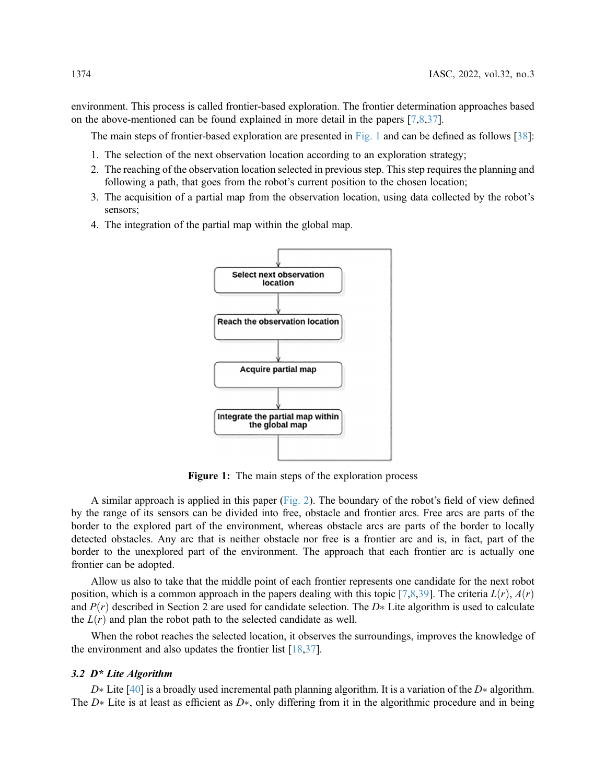environment. This process is called frontier-based exploration. The frontier determination approaches based on the above-mentioned can be found explained in more detail in the papers [\[7](#page-14-6)[,8,](#page-14-7)[37\]](#page-16-5).

The main steps of frontier-based exploration are presented in [Fig. 1](#page-5-0) and can be defined as follows [[38\]](#page-16-6):

- 1. The selection of the next observation location according to an exploration strategy;
- 2. The reaching of the observation location selected in previous step. This step requires the planning and following a path, that goes from the robot's current position to the chosen location;
- 3. The acquisition of a partial map from the observation location, using data collected by the robot's sensors;
- <span id="page-5-0"></span>4. The integration of the partial map within the global map.



Figure 1: The main steps of the exploration process

A similar approach is applied in this paper  $(Fig. 2)$  $(Fig. 2)$  $(Fig. 2)$ . The boundary of the robot's field of view defined by the range of its sensors can be divided into free, obstacle and frontier arcs. Free arcs are parts of the border to the explored part of the environment, whereas obstacle arcs are parts of the border to locally detected obstacles. Any arc that is neither obstacle nor free is a frontier arc and is, in fact, part of the border to the unexplored part of the environment. The approach that each frontier arc is actually one frontier can be adopted.

Allow us also to take that the middle point of each frontier represents one candidate for the next robot position, which is a common approach in the papers dealing with this topic [\[7,](#page-14-6)[8](#page-14-7),[39\]](#page-16-7). The criteria  $L(r)$ ,  $A(r)$ and  $P(r)$  described in Section 2 are used for candidate selection. The D\* Lite algorithm is used to calculate the  $L(r)$  and plan the robot path to the selected candidate as well.

When the robot reaches the selected location, it observes the surroundings, improves the knowledge of the environment and also updates the frontier list [[18,](#page-15-7)[37](#page-16-5)].

## 3.2 D\* Lite Algorithm

 $D^*$  Lite [\[40](#page-16-8)] is a broadly used incremental path planning algorithm. It is a variation of the  $D^*$  algorithm. The  $D^*$  Lite is at least as efficient as  $D^*$ , only differing from it in the algorithmic procedure and in being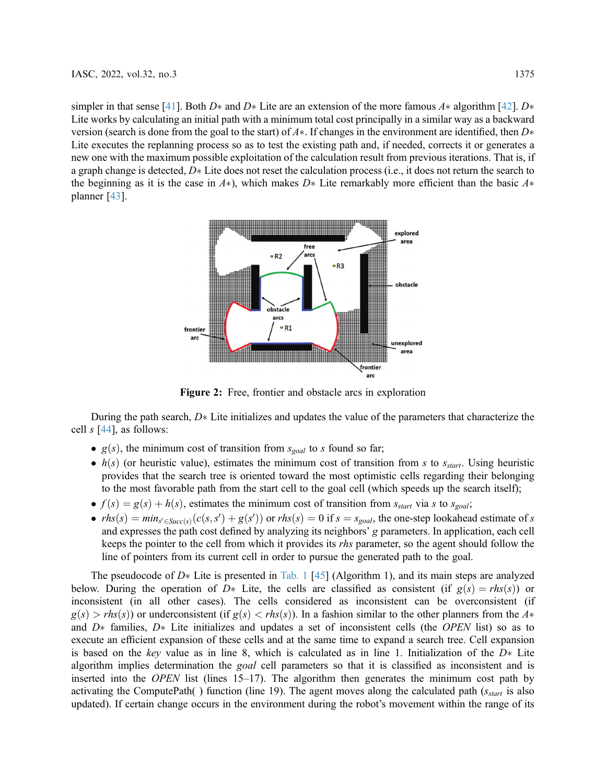<span id="page-6-0"></span>simpler in that sense [\[41](#page-16-9)]. Both D\* and D\* Lite are an extension of the more famous A\* algorithm [[42\]](#page-16-10). D\* Lite works by calculating an initial path with a minimum total cost principally in a similar way as a backward version (search is done from the goal to the start) of  $A^*$ . If changes in the environment are identified, then  $D^*$ Lite executes the replanning process so as to test the existing path and, if needed, corrects it or generates a new one with the maximum possible exploitation of the calculation result from previous iterations. That is, if a graph change is detected,  $D*$  Lite does not reset the calculation process (i.e., it does not return the search to the beginning as it is the case in  $A^*$ ), which makes  $D^*$ . Lite remarkably more efficient than the basic  $A^*$ planner [\[43](#page-16-11)].



Figure 2: Free, frontier and obstacle arcs in exploration

During the path search,  $D*$  Lite initializes and updates the value of the parameters that characterize the cell  $s$  [[44\]](#page-16-12), as follows:

- $g(s)$ , the minimum cost of transition from  $s_{goal}$  to s found so far;
- $\bullet$  h(s) (or heuristic value), estimates the minimum cost of transition from s to  $s_{start}$ . Using heuristic provides that the search tree is oriented toward the most optimistic cells regarding their belonging to the most favorable path from the start cell to the goal cell (which speeds up the search itself);
- $\bullet$   $f(s) = g(s) + h(s)$ , estimates the minimum cost of transition from  $s_{start}$  via s to  $s_{goal}$ ;
- $rhs(s) = min_{s' \in Succ(s)}(c(s, s') + g(s'))$  or  $rhs(s) = 0$  if  $s = s_{goal}$ , the one-step lookahead estimate of s and expresses the path cost defined by analyzing its neighbors' g parameters. In application, each cell keeps the pointer to the cell from which it provides its rhs parameter, so the agent should follow the line of pointers from its current cell in order to pursue the generated path to the goal.

The pseudocode of  $D*$  Lite is presented in [Tab. 1](#page-7-0) [[45\]](#page-16-13) (Algorithm 1), and its main steps are analyzed below. During the operation of  $D^*$  Lite, the cells are classified as consistent (if  $g(s) = r h s(s)$ ) or inconsistent (in all other cases). The cells considered as inconsistent can be overconsistent (if  $g(s) > rhs(s)$  or underconsistent (if  $g(s) < rhs(s)$ ). In a fashion similar to the other planners from the  $A^*$ and  $D^*$  families,  $D^*$  Lite initializes and updates a set of inconsistent cells (the OPEN list) so as to execute an efficient expansion of these cells and at the same time to expand a search tree. Cell expansion is based on the key value as in line 8, which is calculated as in line 1. Initialization of the  $D*$  Lite algorithm implies determination the *goal* cell parameters so that it is classified as inconsistent and is inserted into the *OPEN* list (lines  $15-17$ ). The algorithm then generates the minimum cost path by activating the ComputePath() function (line 19). The agent moves along the calculated path ( $s_{start}$  is also updated). If certain change occurs in the environment during the robot's movement within the range of its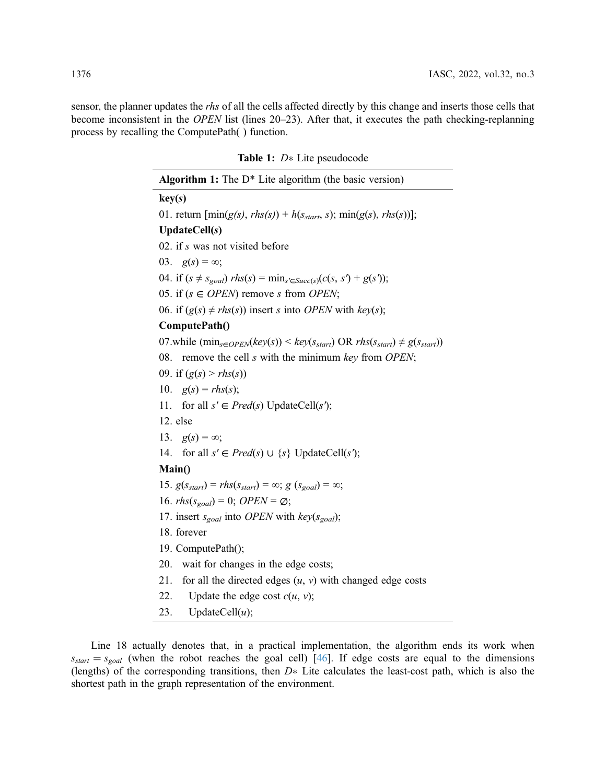sensor, the planner updates the *rhs* of all the cells affected directly by this change and inserts those cells that become inconsistent in the OPEN list (lines 20–23). After that, it executes the path checking-replanning process by recalling the ComputePath( ) function.

<span id="page-7-0"></span>

| <b>Table 1:</b> $D^*$ Life pseudocode                                                                  |  |  |  |
|--------------------------------------------------------------------------------------------------------|--|--|--|
| <b>Algorithm 1:</b> The $D^*$ Lite algorithm (the basic version)                                       |  |  |  |
| key(s)                                                                                                 |  |  |  |
| 01. return $[\min(g(s), \text{rhs}(s)) + h(s_{start}, s); \min(g(s), \text{rhs}(s))];$                 |  |  |  |
| UpdateCell(s)                                                                                          |  |  |  |
| 02. if s was not visited before                                                                        |  |  |  |
| 03. $g(s) = \infty$ ;                                                                                  |  |  |  |
| 04. if $(s \neq s_{goal})$ rhs(s) = min <sub>s'<math>\in</math>Succ(s)</sub> (c(s, s') + g(s'));       |  |  |  |
| 05. if $(s \in OPEN)$ remove s from OPEN;                                                              |  |  |  |
| 06. if $(g(s) \neq rhs(s))$ insert s into <i>OPEN</i> with $key(s)$ ;                                  |  |  |  |
| ComputePath()                                                                                          |  |  |  |
| 07.while $(\min_{s \in OPEN}(key(s)) \leq key(s_{start}) \text{ OR }rhs(s_{start}) \neq g(s_{start}))$ |  |  |  |
| 08. remove the cell s with the minimum key from OPEN;                                                  |  |  |  |
| 09. if $(g(s) > r h s(s))$                                                                             |  |  |  |
| 10. $g(s) = rhs(s);$                                                                                   |  |  |  |
| 11. for all $s' \in Pred(s)$ UpdateCell(s');                                                           |  |  |  |
| 12. else                                                                                               |  |  |  |
| 13. $g(s) = \infty$ ;                                                                                  |  |  |  |
| 14. for all $s' \in Pred(s) \cup \{s\}$ UpdateCell(s');                                                |  |  |  |
| Main()                                                                                                 |  |  |  |
| 15. $g(s_{start}) = rhs(s_{start}) = \infty$ ; $g(s_{goal}) = \infty$ ;                                |  |  |  |
| 16. $rhs(s_{goal}) = 0$ ; <i>OPEN</i> = $\emptyset$ ;                                                  |  |  |  |
| 17. insert $s_{goal}$ into <i>OPEN</i> with $key(s_{goal})$ ;                                          |  |  |  |
| 18. forever                                                                                            |  |  |  |
| 19. ComputePath();                                                                                     |  |  |  |
| 20. wait for changes in the edge costs;                                                                |  |  |  |
| 21. for all the directed edges $(u, v)$ with changed edge costs                                        |  |  |  |
| Update the edge cost $c(u, v)$ ;<br>22.                                                                |  |  |  |

 $Table 1: D<sub>0</sub>$  Lite pseudocode

23. UpdateCell $(u)$ ;

Line 18 actually denotes that, in a practical implementation, the algorithm ends its work when  $s_{start} = s_{goal}$  (when the robot reaches the goal cell) [[46\]](#page-16-14). If edge costs are equal to the dimensions (lengths) of the corresponding transitions, then  $D*$  Lite calculates the least-cost path, which is also the shortest path in the graph representation of the environment.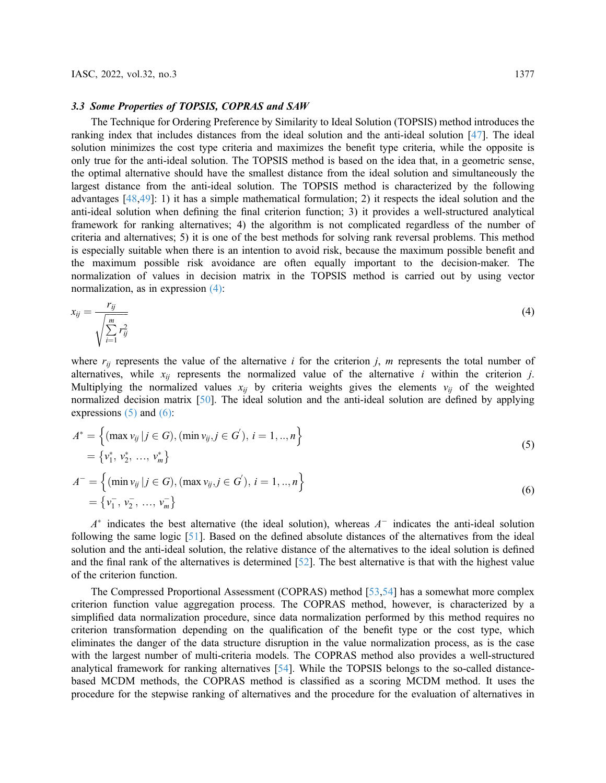#### 3.3 Some Properties of TOPSIS, COPRAS and SAW

The Technique for Ordering Preference by Similarity to Ideal Solution (TOPSIS) method introduces the ranking index that includes distances from the ideal solution and the anti-ideal solution [\[47](#page-16-15)]. The ideal solution minimizes the cost type criteria and maximizes the benefit type criteria, while the opposite is only true for the anti-ideal solution. The TOPSIS method is based on the idea that, in a geometric sense, the optimal alternative should have the smallest distance from the ideal solution and simultaneously the largest distance from the anti-ideal solution. The TOPSIS method is characterized by the following advantages [[48,](#page-16-16)[49](#page-16-17)]: 1) it has a simple mathematical formulation; 2) it respects the ideal solution and the anti-ideal solution when defining the final criterion function; 3) it provides a well-structured analytical framework for ranking alternatives; 4) the algorithm is not complicated regardless of the number of criteria and alternatives; 5) it is one of the best methods for solving rank reversal problems. This method is especially suitable when there is an intention to avoid risk, because the maximum possible benefit and the maximum possible risk avoidance are often equally important to the decision-maker. The normalization of values in decision matrix in the TOPSIS method is carried out by using vector normalization, as in expression [\(4\)](#page-8-0):

<span id="page-8-0"></span>
$$
x_{ij} = \frac{r_{ij}}{\sqrt{\sum_{i=1}^{m} r_{ij}^2}}
$$
\n
$$
(4)
$$

where  $r_{ij}$  represents the value of the alternative i for the criterion j, m represents the total number of alternatives, while  $x_{ij}$  represents the normalized value of the alternative *i* within the criterion *j*. Multiplying the normalized values  $x_{ij}$  by criteria weights gives the elements  $v_{ij}$  of the weighted normalized decision matrix [[50\]](#page-16-18). The ideal solution and the anti-ideal solution are defined by applying expressions  $(5)$  and  $(6)$ :

<span id="page-8-2"></span><span id="page-8-1"></span>
$$
A^* = \left\{ (\max v_{ij} | j \in G), (\min v_{ij}, j \in G'), i = 1, ..., n \right\}
$$
  
=  $\{v_1^*, v_2^*, ..., v_m^*\}$   

$$
A^- = \left\{ (\min v \cdot | i \in G) \ (\max v \cdot i \in G') \ i = 1, ..., n \right\}
$$
 (5)

$$
A^{-} = \left\{ (\min v_{ij} | j \in G), (\max v_{ij}, j \in G'), i = 1, ..., n \right\}
$$
  
=  $\{v_1^-, v_2^-, ..., v_m^-\}$  (6)

 $A^*$  indicates the best alternative (the ideal solution), whereas  $A^-$  indicates the anti-ideal solution following the same logic [\[51](#page-17-0)]. Based on the defined absolute distances of the alternatives from the ideal solution and the anti-ideal solution, the relative distance of the alternatives to the ideal solution is defined and the final rank of the alternatives is determined [[52\]](#page-17-1). The best alternative is that with the highest value of the criterion function.

The Compressed Proportional Assessment (COPRAS) method [[53,](#page-17-2)[54\]](#page-17-3) has a somewhat more complex criterion function value aggregation process. The COPRAS method, however, is characterized by a simplified data normalization procedure, since data normalization performed by this method requires no criterion transformation depending on the qualification of the benefit type or the cost type, which eliminates the danger of the data structure disruption in the value normalization process, as is the case with the largest number of multi-criteria models. The COPRAS method also provides a well-structured analytical framework for ranking alternatives [[54\]](#page-17-3). While the TOPSIS belongs to the so-called distancebased MCDM methods, the COPRAS method is classified as a scoring MCDM method. It uses the procedure for the stepwise ranking of alternatives and the procedure for the evaluation of alternatives in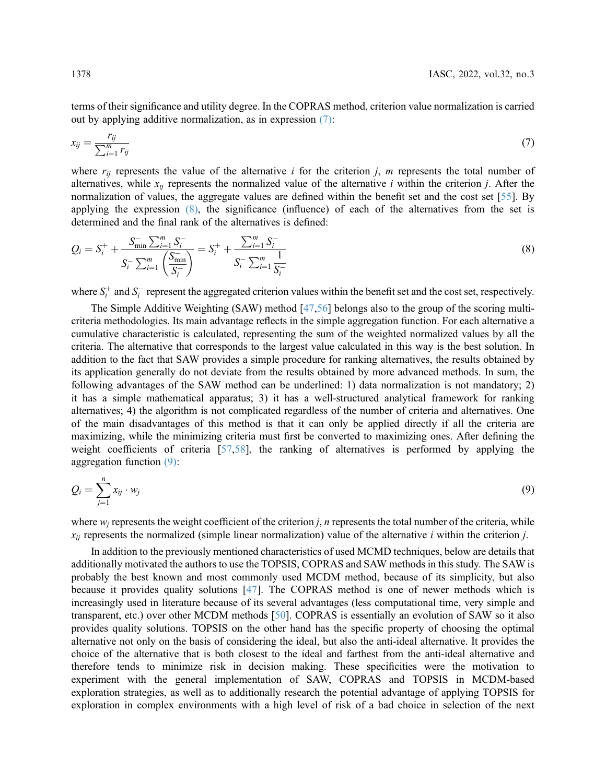<span id="page-9-0"></span>terms of their significance and utility degree. In the COPRAS method, criterion value normalization is carried out by applying additive normalization, as in expression [\(7\)](#page-9-0):

$$
x_{ij} = \frac{r_{ij}}{\sum_{i=1}^{m} r_{ij}}\tag{7}
$$

where  $r_{ij}$  represents the value of the alternative *i* for the criterion *j*, *m* represents the total number of alternatives, while  $x_{ij}$  represents the normalized value of the alternative *i* within the criterion *j*. After the normalization of values, the aggregate values are defined within the benefit set and the cost set [\[55](#page-17-4)]. By applying the expression  $(8)$ , the significance (influence) of each of the alternatives from the set is determined and the final rank of the alternatives is defined:

<span id="page-9-1"></span>
$$
Q_i = S_i^+ + \frac{S_{\min}^- \sum_{i=1}^m S_i^-}{S_i^- \sum_{i=1}^m \left(\frac{S_{\min}^-}{S_i^-}\right)} = S_i^+ + \frac{\sum_{i=1}^m S_i^-}{S_i^- \sum_{i=1}^m \frac{1}{S_i^-}}
$$
(8)

where  $S_i^+$  and  $S_i^-$  represent the aggregated criterion values within the benefit set and the cost set, respectively.

The Simple Additive Weighting (SAW) method [[47,](#page-16-15)[56](#page-17-5)] belongs also to the group of the scoring multicriteria methodologies. Its main advantage reflects in the simple aggregation function. For each alternative a cumulative characteristic is calculated, representing the sum of the weighted normalized values by all the criteria. The alternative that corresponds to the largest value calculated in this way is the best solution. In addition to the fact that SAW provides a simple procedure for ranking alternatives, the results obtained by its application generally do not deviate from the results obtained by more advanced methods. In sum, the following advantages of the SAW method can be underlined: 1) data normalization is not mandatory; 2) it has a simple mathematical apparatus; 3) it has a well-structured analytical framework for ranking alternatives; 4) the algorithm is not complicated regardless of the number of criteria and alternatives. One of the main disadvantages of this method is that it can only be applied directly if all the criteria are maximizing, while the minimizing criteria must first be converted to maximizing ones. After defining the weight coefficients of criteria [[57,](#page-17-6)[58](#page-17-7)], the ranking of alternatives is performed by applying the aggregation function [\(9\)](#page-9-2):

<span id="page-9-2"></span>
$$
Q_i = \sum_{j=1}^n x_{ij} \cdot w_j \tag{9}
$$

where  $w_i$  represents the weight coefficient of the criterion j, n represents the total number of the criteria, while  $x_{ii}$  represents the normalized (simple linear normalization) value of the alternative *i* within the criterion *j*.

In addition to the previously mentioned characteristics of used MCMD techniques, below are details that additionally motivated the authors to use the TOPSIS, COPRAS and SAW methods in this study. The SAW is probably the best known and most commonly used MCDM method, because of its simplicity, but also because it provides quality solutions [[47\]](#page-16-15). The COPRAS method is one of newer methods which is increasingly used in literature because of its several advantages (less computational time, very simple and transparent, etc.) over other MCDM methods [[50\]](#page-16-18). COPRAS is essentially an evolution of SAW so it also provides quality solutions. TOPSIS on the other hand has the specific property of choosing the optimal alternative not only on the basis of considering the ideal, but also the anti-ideal alternative. It provides the choice of the alternative that is both closest to the ideal and farthest from the anti-ideal alternative and therefore tends to minimize risk in decision making. These specificities were the motivation to experiment with the general implementation of SAW, COPRAS and TOPSIS in MCDM-based exploration strategies, as well as to additionally research the potential advantage of applying TOPSIS for exploration in complex environments with a high level of risk of a bad choice in selection of the next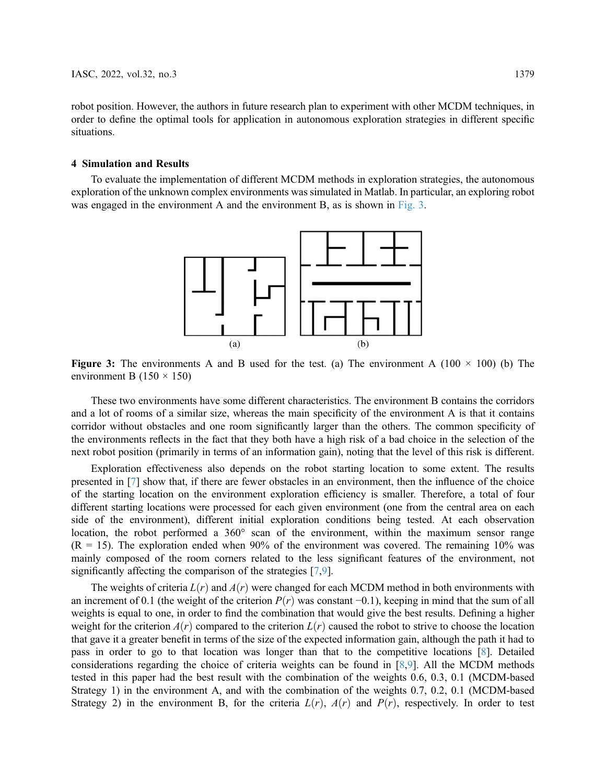robot position. However, the authors in future research plan to experiment with other MCDM techniques, in order to define the optimal tools for application in autonomous exploration strategies in different specific situations.

#### 4 Simulation and Results

<span id="page-10-0"></span>To evaluate the implementation of different MCDM methods in exploration strategies, the autonomous exploration of the unknown complex environments was simulated in Matlab. In particular, an exploring robot was engaged in the environment A and the environment B, as is shown in [Fig. 3](#page-10-0).



**Figure 3:** The environments A and B used for the test. (a) The environment A (100  $\times$  100) (b) The environment B (150  $\times$  150)

These two environments have some different characteristics. The environment B contains the corridors and a lot of rooms of a similar size, whereas the main specificity of the environment A is that it contains corridor without obstacles and one room significantly larger than the others. The common specificity of the environments reflects in the fact that they both have a high risk of a bad choice in the selection of the next robot position (primarily in terms of an information gain), noting that the level of this risk is different.

Exploration effectiveness also depends on the robot starting location to some extent. The results presented in [\[7\]](#page-14-6) show that, if there are fewer obstacles in an environment, then the influence of the choice of the starting location on the environment exploration efficiency is smaller. Therefore, a total of four different starting locations were processed for each given environment (one from the central area on each side of the environment), different initial exploration conditions being tested. At each observation location, the robot performed a 360° scan of the environment, within the maximum sensor range  $(R = 15)$ . The exploration ended when 90% of the environment was covered. The remaining 10% was mainly composed of the room corners related to the less significant features of the environment, not significantly affecting the comparison of the strategies [\[7,](#page-14-6)[9\]](#page-14-8).

The weights of criteria  $L(r)$  and  $A(r)$  were changed for each MCDM method in both environments with an increment of 0.1 (the weight of the criterion  $P(r)$  was constant −0.1), keeping in mind that the sum of all weights is equal to one, in order to find the combination that would give the best results. Defining a higher weight for the criterion  $A(r)$  compared to the criterion  $L(r)$  caused the robot to strive to choose the location that gave it a greater benefit in terms of the size of the expected information gain, although the path it had to pass in order to go to that location was longer than that to the competitive locations [\[8\]](#page-14-7). Detailed considerations regarding the choice of criteria weights can be found in [[8](#page-14-7),[9](#page-14-8)]. All the MCDM methods tested in this paper had the best result with the combination of the weights 0.6, 0.3, 0.1 (MCDM-based Strategy 1) in the environment A, and with the combination of the weights 0.7, 0.2, 0.1 (MCDM-based Strategy 2) in the environment B, for the criteria  $L(r)$ ,  $A(r)$  and  $P(r)$ , respectively. In order to test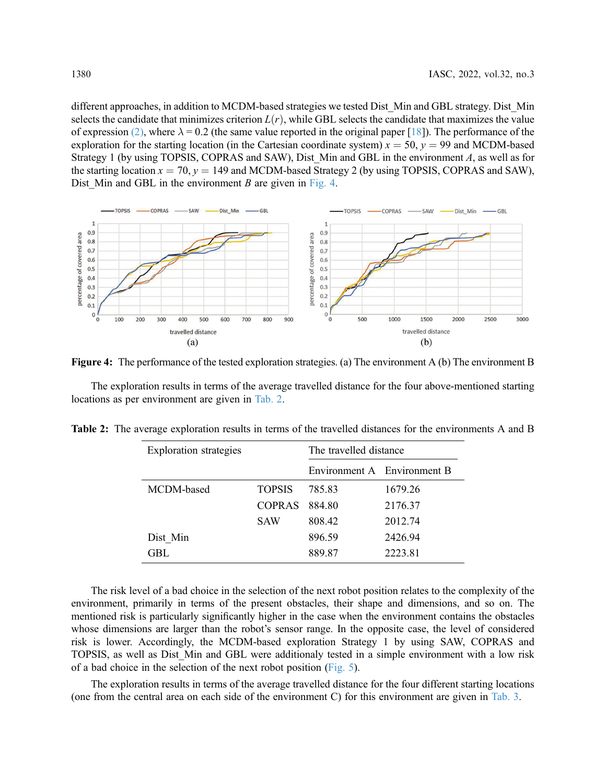different approaches, in addition to MCDM-based strategies we tested Dist\_Min and GBL strategy. Dist\_Min selects the candidate that minimizes criterion  $L(r)$ , while GBL selects the candidate that maximizes the value of expression [\(2\)](#page-3-0), where  $\lambda = 0.2$  (the same value reported in the original paper [\[18](#page-15-7)]). The performance of the exploration for the starting location (in the Cartesian coordinate system)  $x = 50$ ,  $y = 99$  and MCDM-based Strategy 1 (by using TOPSIS, COPRAS and SAW), Dist\_Min and GBL in the environment  $A$ , as well as for the starting location  $x = 70$ ,  $y = 149$  and MCDM-based Strategy 2 (by using TOPSIS, COPRAS and SAW), Dist Min and GBL in the environment B are given in [Fig. 4.](#page-11-0)

<span id="page-11-0"></span>

Figure 4: The performance of the tested exploration strategies. (a) The environment A (b) The environment B

The exploration results in terms of the average travelled distance for the four above-mentioned starting locations as per environment are given in [Tab. 2](#page-11-1).

<span id="page-11-1"></span>

| <b>Exploration</b> strategies |               | The travelled distance      |         |
|-------------------------------|---------------|-----------------------------|---------|
|                               |               | Environment A Environment B |         |
| MCDM-based                    | <b>TOPSIS</b> | 785.83                      | 1679.26 |
|                               | <b>COPRAS</b> | 884.80                      | 2176.37 |
|                               | <b>SAW</b>    | 808.42                      | 2012.74 |
| Dist Min                      |               | 896.59                      | 2426.94 |
| GBL.                          |               | 889.87                      | 2223.81 |

The risk level of a bad choice in the selection of the next robot position relates to the complexity of the environment, primarily in terms of the present obstacles, their shape and dimensions, and so on. The mentioned risk is particularly significantly higher in the case when the environment contains the obstacles whose dimensions are larger than the robot's sensor range. In the opposite case, the level of considered risk is lower. Accordingly, the MCDM-based exploration Strategy 1 by using SAW, COPRAS and TOPSIS, as well as Dist\_Min and GBL were additionaly tested in a simple environment with a low risk of a bad choice in the selection of the next robot position ([Fig. 5\)](#page-12-0).

The exploration results in terms of the average travelled distance for the four different starting locations (one from the central area on each side of the environment C) for this environment are given in [Tab. 3](#page-12-1).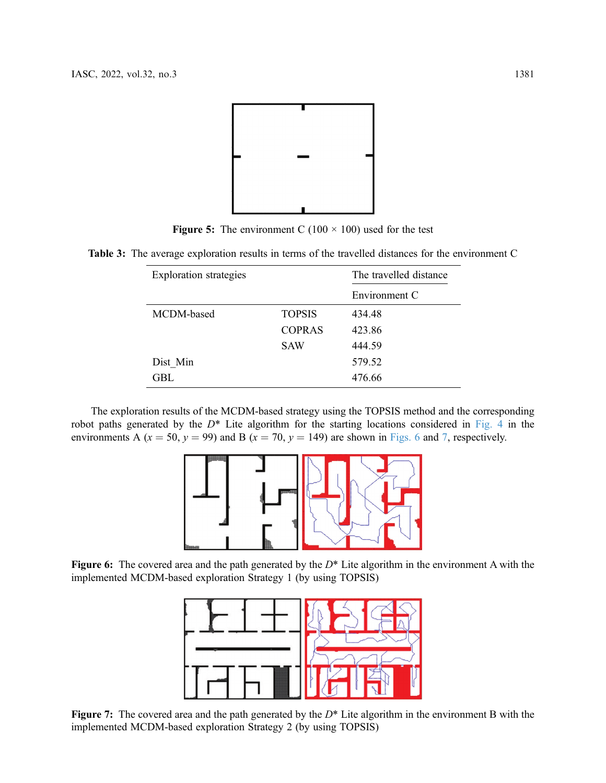<span id="page-12-0"></span>

Figure 5: The environment C (100  $\times$  100) used for the test

<span id="page-12-1"></span>Table 3: The average exploration results in terms of the travelled distances for the environment C

| <b>Exploration</b> strategies |               | The travelled distance |  |
|-------------------------------|---------------|------------------------|--|
|                               |               | Environment C          |  |
| MCDM-based                    | <b>TOPSIS</b> | 434.48                 |  |
|                               | <b>COPRAS</b> | 423.86                 |  |
|                               | <b>SAW</b>    | 444.59                 |  |
| Dist Min                      |               | 579.52                 |  |
| GBL                           |               | 476.66                 |  |

<span id="page-12-2"></span>The exploration results of the MCDM-based strategy using the TOPSIS method and the corresponding robot paths generated by the  $D^*$  Lite algorithm for the starting locations considered in [Fig. 4](#page-11-0) in the environments A ( $x = 50$ ,  $y = 99$ ) and B ( $x = 70$  $x = 70$  $x = 70$ ,  $y = 149$ ) are shown in [Figs. 6](#page-12-2) and 7, respectively.



<span id="page-12-3"></span>Figure 6: The covered area and the path generated by the  $D^*$  Lite algorithm in the environment A with the implemented MCDM-based exploration Strategy 1 (by using TOPSIS)



Figure 7: The covered area and the path generated by the  $D^*$  Lite algorithm in the environment B with the implemented MCDM-based exploration Strategy 2 (by using TOPSIS)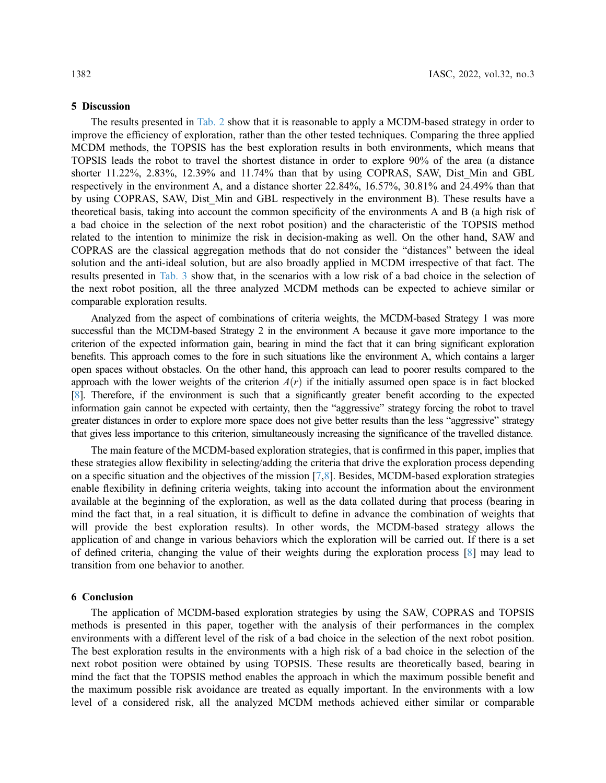## 5 Discussion

The results presented in [Tab. 2](#page-11-1) show that it is reasonable to apply a MCDM-based strategy in order to improve the efficiency of exploration, rather than the other tested techniques. Comparing the three applied MCDM methods, the TOPSIS has the best exploration results in both environments, which means that TOPSIS leads the robot to travel the shortest distance in order to explore 90% of the area (a distance shorter 11.22%, 2.83%, 12.39% and 11.74% than that by using COPRAS, SAW, Dist Min and GBL respectively in the environment A, and a distance shorter 22.84%, 16.57%, 30.81% and 24.49% than that by using COPRAS, SAW, Dist Min and GBL respectively in the environment B). These results have a theoretical basis, taking into account the common specificity of the environments A and B (a high risk of a bad choice in the selection of the next robot position) and the characteristic of the TOPSIS method related to the intention to minimize the risk in decision-making as well. On the other hand, SAW and COPRAS are the classical aggregation methods that do not consider the "distances" between the ideal solution and the anti-ideal solution, but are also broadly applied in MCDM irrespective of that fact. The results presented in [Tab. 3](#page-12-1) show that, in the scenarios with a low risk of a bad choice in the selection of the next robot position, all the three analyzed MCDM methods can be expected to achieve similar or comparable exploration results.

Analyzed from the aspect of combinations of criteria weights, the MCDM-based Strategy 1 was more successful than the MCDM-based Strategy 2 in the environment A because it gave more importance to the criterion of the expected information gain, bearing in mind the fact that it can bring significant exploration benefits. This approach comes to the fore in such situations like the environment A, which contains a larger open spaces without obstacles. On the other hand, this approach can lead to poorer results compared to the approach with the lower weights of the criterion  $A(r)$  if the initially assumed open space is in fact blocked [\[8\]](#page-14-7). Therefore, if the environment is such that a significantly greater benefit according to the expected information gain cannot be expected with certainty, then the "aggressive" strategy forcing the robot to travel greater distances in order to explore more space does not give better results than the less "aggressive" strategy that gives less importance to this criterion, simultaneously increasing the significance of the travelled distance.

The main feature of the MCDM-based exploration strategies, that is confirmed in this paper, implies that these strategies allow flexibility in selecting/adding the criteria that drive the exploration process depending on a specific situation and the objectives of the mission [\[7,](#page-14-6)[8\]](#page-14-7). Besides, MCDM-based exploration strategies enable flexibility in defining criteria weights, taking into account the information about the environment available at the beginning of the exploration, as well as the data collated during that process (bearing in mind the fact that, in a real situation, it is difficult to define in advance the combination of weights that will provide the best exploration results). In other words, the MCDM-based strategy allows the application of and change in various behaviors which the exploration will be carried out. If there is a set of defined criteria, changing the value of their weights during the exploration process [\[8\]](#page-14-7) may lead to transition from one behavior to another.

#### 6 Conclusion

The application of MCDM-based exploration strategies by using the SAW, COPRAS and TOPSIS methods is presented in this paper, together with the analysis of their performances in the complex environments with a different level of the risk of a bad choice in the selection of the next robot position. The best exploration results in the environments with a high risk of a bad choice in the selection of the next robot position were obtained by using TOPSIS. These results are theoretically based, bearing in mind the fact that the TOPSIS method enables the approach in which the maximum possible benefit and the maximum possible risk avoidance are treated as equally important. In the environments with a low level of a considered risk, all the analyzed MCDM methods achieved either similar or comparable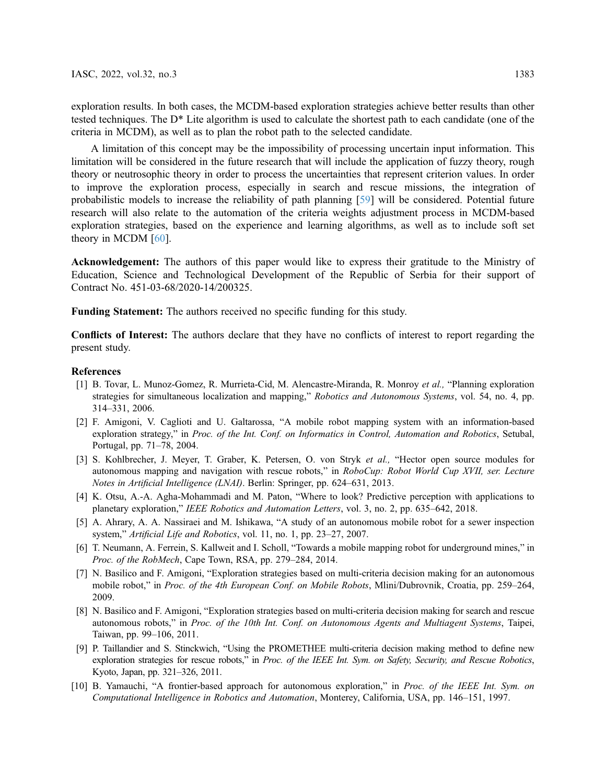exploration results. In both cases, the MCDM-based exploration strategies achieve better results than other tested techniques. The D\* Lite algorithm is used to calculate the shortest path to each candidate (one of the criteria in MCDM), as well as to plan the robot path to the selected candidate.

A limitation of this concept may be the impossibility of processing uncertain input information. This limitation will be considered in the future research that will include the application of fuzzy theory, rough theory or neutrosophic theory in order to process the uncertainties that represent criterion values. In order to improve the exploration process, especially in search and rescue missions, the integration of probabilistic models to increase the reliability of path planning [[59\]](#page-17-8) will be considered. Potential future research will also relate to the automation of the criteria weights adjustment process in MCDM-based exploration strategies, based on the experience and learning algorithms, as well as to include soft set theory in MCDM [\[60](#page-17-9)].

Acknowledgement: The authors of this paper would like to express their gratitude to the Ministry of Education, Science and Technological Development of the Republic of Serbia for their support of Contract No. 451-03-68/2020-14/200325.

Funding Statement: The authors received no specific funding for this study.

Conflicts of Interest: The authors declare that they have no conflicts of interest to report regarding the present study.

#### References

- <span id="page-14-0"></span>[1] B. Tovar, L. Munoz-Gomez, R. Murrieta-Cid, M. Alencastre-Miranda, R. Monroy et al., "Planning exploration strategies for simultaneous localization and mapping," Robotics and Autonomous Systems, vol. 54, no. 4, pp. 314–331, 2006.
- <span id="page-14-1"></span>[2] F. Amigoni, V. Caglioti and U. Galtarossa, "A mobile robot mapping system with an information-based exploration strategy," in Proc. of the Int. Conf. on Informatics in Control, Automation and Robotics, Setubal, Portugal, pp. 71–78, 2004.
- <span id="page-14-2"></span>[3] S. Kohlbrecher, J. Meyer, T. Graber, K. Petersen, O. von Stryk et al., "Hector open source modules for autonomous mapping and navigation with rescue robots," in RoboCup: Robot World Cup XVII, ser. Lecture Notes in Artificial Intelligence (LNAI). Berlin: Springer, pp. 624–631, 2013.
- <span id="page-14-3"></span>[4] K. Otsu, A.-A. Agha-Mohammadi and M. Paton, "Where to look? Predictive perception with applications to planetary exploration," IEEE Robotics and Automation Letters, vol. 3, no. 2, pp. 635–642, 2018.
- <span id="page-14-4"></span>[5] A. Ahrary, A. A. Nassiraei and M. Ishikawa, "A study of an autonomous mobile robot for a sewer inspection system," Artificial Life and Robotics, vol. 11, no. 1, pp. 23–27, 2007.
- <span id="page-14-5"></span>[6] T. Neumann, A. Ferrein, S. Kallweit and I. Scholl, "Towards a mobile mapping robot for underground mines," in Proc. of the RobMech, Cape Town, RSA, pp. 279–284, 2014.
- <span id="page-14-6"></span>[7] N. Basilico and F. Amigoni, "Exploration strategies based on multi-criteria decision making for an autonomous mobile robot," in Proc. of the 4th European Conf. on Mobile Robots, Mlini/Dubrovnik, Croatia, pp. 259–264, 2009.
- <span id="page-14-7"></span>[8] N. Basilico and F. Amigoni, "Exploration strategies based on multi-criteria decision making for search and rescue autonomous robots," in Proc. of the 10th Int. Conf. on Autonomous Agents and Multiagent Systems, Taipei, Taiwan, pp. 99–106, 2011.
- <span id="page-14-8"></span>[9] P. Taillandier and S. Stinckwich, "Using the PROMETHEE multi-criteria decision making method to define new exploration strategies for rescue robots," in Proc. of the IEEE Int. Sym. on Safety, Security, and Rescue Robotics, Kyoto, Japan, pp. 321–326, 2011.
- <span id="page-14-9"></span>[10] B. Yamauchi, "A frontier-based approach for autonomous exploration," in Proc. of the IEEE Int. Sym. on Computational Intelligence in Robotics and Automation, Monterey, California, USA, pp. 146–151, 1997.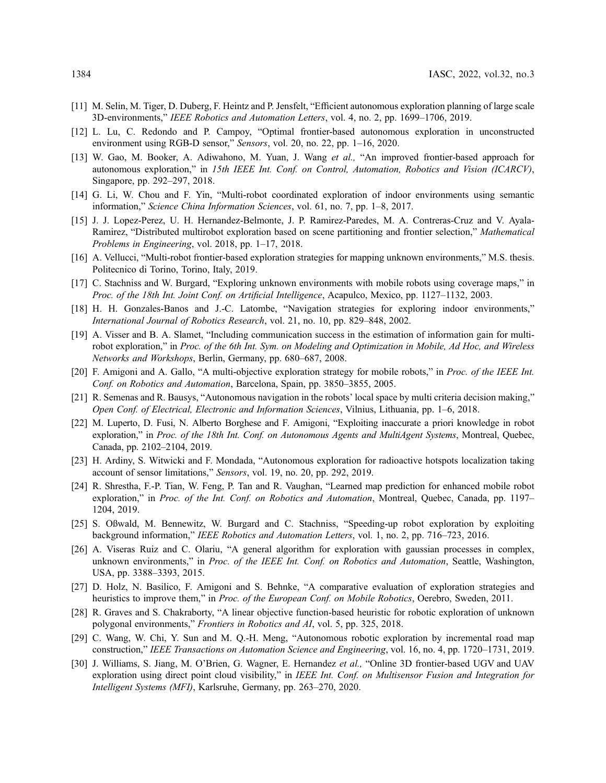- <span id="page-15-0"></span>[11] M. Selin, M. Tiger, D. Duberg, F. Heintz and P. Jensfelt, "Efficient autonomous exploration planning of large scale 3D-environments," IEEE Robotics and Automation Letters, vol. 4, no. 2, pp. 1699–1706, 2019.
- <span id="page-15-1"></span>[12] L. Lu, C. Redondo and P. Campoy, "Optimal frontier-based autonomous exploration in unconstructed environment using RGB-D sensor," Sensors, vol. 20, no. 22, pp. 1–16, 2020.
- <span id="page-15-2"></span>[13] W. Gao, M. Booker, A. Adiwahono, M. Yuan, J. Wang et al., "An improved frontier-based approach for autonomous exploration," in 15th IEEE Int. Conf. on Control, Automation, Robotics and Vision (ICARCV), Singapore, pp. 292–297, 2018.
- <span id="page-15-3"></span>[14] G. Li, W. Chou and F. Yin, "Multi-robot coordinated exploration of indoor environments using semantic information," Science China Information Sciences, vol. 61, no. 7, pp. 1–8, 2017.
- <span id="page-15-4"></span>[15] J. J. Lopez-Perez, U. H. Hernandez-Belmonte, J. P. Ramirez-Paredes, M. A. Contreras-Cruz and V. Ayala-Ramirez, "Distributed multirobot exploration based on scene partitioning and frontier selection," Mathematical Problems in Engineering, vol. 2018, pp. 1–17, 2018.
- <span id="page-15-5"></span>[16] A. Vellucci, "Multi-robot frontier-based exploration strategies for mapping unknown environments," M.S. thesis. Politecnico di Torino, Torino, Italy, 2019.
- <span id="page-15-6"></span>[17] C. Stachniss and W. Burgard, "Exploring unknown environments with mobile robots using coverage maps," in Proc. of the 18th Int. Joint Conf. on Artificial Intelligence, Acapulco, Mexico, pp. 1127–1132, 2003.
- <span id="page-15-7"></span>[18] H. H. Gonzales-Banos and J.-C. Latombe, "Navigation strategies for exploring indoor environments," International Journal of Robotics Research, vol. 21, no. 10, pp. 829–848, 2002.
- <span id="page-15-8"></span>[19] A. Visser and B. A. Slamet, "Including communication success in the estimation of information gain for multirobot exploration," in Proc. of the 6th Int. Sym. on Modeling and Optimization in Mobile, Ad Hoc, and Wireless Networks and Workshops, Berlin, Germany, pp. 680–687, 2008.
- <span id="page-15-9"></span>[20] F. Amigoni and A. Gallo, "A multi-objective exploration strategy for mobile robots," in Proc. of the IEEE Int. Conf. on Robotics and Automation, Barcelona, Spain, pp. 3850–3855, 2005.
- <span id="page-15-10"></span>[21] R. Semenas and R. Bausys, "Autonomous navigation in the robots' local space by multi criteria decision making," Open Conf. of Electrical, Electronic and Information Sciences, Vilnius, Lithuania, pp. 1–6, 2018.
- <span id="page-15-11"></span>[22] M. Luperto, D. Fusi, N. Alberto Borghese and F. Amigoni, "Exploiting inaccurate a priori knowledge in robot exploration," in Proc. of the 18th Int. Conf. on Autonomous Agents and MultiAgent Systems, Montreal, Quebec, Canada, pp. 2102–2104, 2019.
- <span id="page-15-12"></span>[23] H. Ardiny, S. Witwicki and F. Mondada, "Autonomous exploration for radioactive hotspots localization taking account of sensor limitations," Sensors, vol. 19, no. 20, pp. 292, 2019.
- <span id="page-15-13"></span>[24] R. Shrestha, F.-P. Tian, W. Feng, P. Tan and R. Vaughan, "Learned map prediction for enhanced mobile robot exploration," in Proc. of the Int. Conf. on Robotics and Automation, Montreal, Quebec, Canada, pp. 1197– 1204, 2019.
- <span id="page-15-14"></span>[25] S. Oßwald, M. Bennewitz, W. Burgard and C. Stachniss, "Speeding-up robot exploration by exploiting background information," IEEE Robotics and Automation Letters, vol. 1, no. 2, pp. 716–723, 2016.
- <span id="page-15-15"></span>[26] A. Viseras Ruiz and C. Olariu, "A general algorithm for exploration with gaussian processes in complex, unknown environments," in Proc. of the IEEE Int. Conf. on Robotics and Automation, Seattle, Washington, USA, pp. 3388–3393, 2015.
- <span id="page-15-16"></span>[27] D. Holz, N. Basilico, F. Amigoni and S. Behnke, "A comparative evaluation of exploration strategies and heuristics to improve them," in Proc. of the European Conf. on Mobile Robotics, Oerebro, Sweden, 2011.
- <span id="page-15-17"></span>[28] R. Graves and S. Chakraborty, "A linear objective function-based heuristic for robotic exploration of unknown polygonal environments," Frontiers in Robotics and AI, vol. 5, pp. 325, 2018.
- <span id="page-15-18"></span>[29] C. Wang, W. Chi, Y. Sun and M. Q.-H. Meng, "Autonomous robotic exploration by incremental road map construction," IEEE Transactions on Automation Science and Engineering, vol. 16, no. 4, pp. 1720–1731, 2019.
- <span id="page-15-19"></span>[30] J. Williams, S. Jiang, M. O'Brien, G. Wagner, E. Hernandez et al., "Online 3D frontier-based UGV and UAV exploration using direct point cloud visibility," in IEEE Int. Conf. on Multisensor Fusion and Integration for Intelligent Systems (MFI), Karlsruhe, Germany, pp. 263–270, 2020.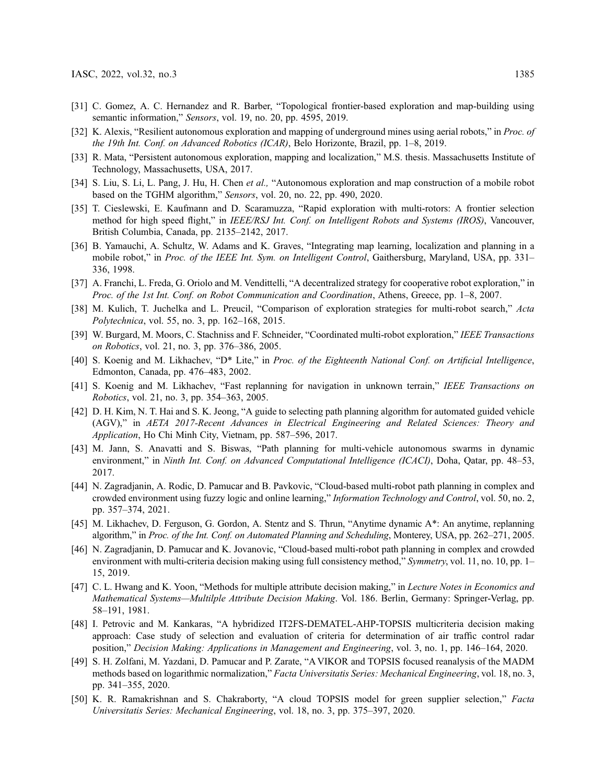- <span id="page-16-0"></span>[31] C. Gomez, A. C. Hernandez and R. Barber, "Topological frontier-based exploration and map-building using semantic information," Sensors, vol. 19, no. 20, pp. 4595, 2019.
- [32] K. Alexis, "Resilient autonomous exploration and mapping of underground mines using aerial robots," in *Proc. of* the 19th Int. Conf. on Advanced Robotics (ICAR), Belo Horizonte, Brazil, pp. 1–8, 2019.
- <span id="page-16-1"></span>[33] R. Mata, "Persistent autonomous exploration, mapping and localization," M.S. thesis. Massachusetts Institute of Technology, Massachusetts, USA, 2017.
- <span id="page-16-2"></span>[34] S. Liu, S. Li, L. Pang, J. Hu, H. Chen et al., "Autonomous exploration and map construction of a mobile robot based on the TGHM algorithm," Sensors, vol. 20, no. 22, pp. 490, 2020.
- <span id="page-16-3"></span>[35] T. Cieslewski, E. Kaufmann and D. Scaramuzza, "Rapid exploration with multi-rotors: A frontier selection method for high speed flight," in IEEE/RSJ Int. Conf. on Intelligent Robots and Systems (IROS), Vancouver, British Columbia, Canada, pp. 2135–2142, 2017.
- <span id="page-16-4"></span>[36] B. Yamauchi, A. Schultz, W. Adams and K. Graves, "Integrating map learning, localization and planning in a mobile robot," in *Proc. of the IEEE Int. Sym. on Intelligent Control*, Gaithersburg, Maryland, USA, pp. 331– 336, 1998.
- <span id="page-16-5"></span>[37] A. Franchi, L. Freda, G. Oriolo and M. Vendittelli, "A decentralized strategy for cooperative robot exploration," in Proc. of the 1st Int. Conf. on Robot Communication and Coordination, Athens, Greece, pp. 1–8, 2007.
- <span id="page-16-6"></span>[38] M. Kulich, T. Juchelka and L. Preucil, "Comparison of exploration strategies for multi-robot search," Acta Polytechnica, vol. 55, no. 3, pp. 162–168, 2015.
- <span id="page-16-7"></span>[39] W. Burgard, M. Moors, C. Stachniss and F. Schneider, "Coordinated multi-robot exploration," IEEE Transactions on Robotics, vol. 21, no. 3, pp. 376–386, 2005.
- <span id="page-16-8"></span>[40] S. Koenig and M. Likhachev, "D\* Lite," in Proc. of the Eighteenth National Conf. on Artificial Intelligence, Edmonton, Canada, pp. 476–483, 2002.
- <span id="page-16-9"></span>[41] S. Koenig and M. Likhachev, "Fast replanning for navigation in unknown terrain," IEEE Transactions on Robotics, vol. 21, no. 3, pp. 354–363, 2005.
- <span id="page-16-10"></span>[42] D. H. Kim, N. T. Hai and S. K. Jeong, "A guide to selecting path planning algorithm for automated guided vehicle (AGV)," in AETA 2017-Recent Advances in Electrical Engineering and Related Sciences: Theory and Application, Ho Chi Minh City, Vietnam, pp. 587–596, 2017.
- <span id="page-16-11"></span>[43] M. Jann, S. Anavatti and S. Biswas, "Path planning for multi-vehicle autonomous swarms in dynamic environment," in Ninth Int. Conf. on Advanced Computational Intelligence (ICACI), Doha, Qatar, pp. 48–53, 2017.
- <span id="page-16-12"></span>[44] N. Zagradjanin, A. Rodic, D. Pamucar and B. Pavkovic, "Cloud-based multi-robot path planning in complex and crowded environment using fuzzy logic and online learning," Information Technology and Control, vol. 50, no. 2, pp. 357–374, 2021.
- <span id="page-16-13"></span>[45] M. Likhachev, D. Ferguson, G. Gordon, A. Stentz and S. Thrun, "Anytime dynamic A\*: An anytime, replanning algorithm," in Proc. of the Int. Conf. on Automated Planning and Scheduling, Monterey, USA, pp. 262–271, 2005.
- <span id="page-16-14"></span>[46] N. Zagradjanin, D. Pamucar and K. Jovanovic, "Cloud-based multi-robot path planning in complex and crowded environment with multi-criteria decision making using full consistency method," Symmetry, vol. 11, no. 10, pp. 1– 15, 2019.
- <span id="page-16-15"></span>[47] C. L. Hwang and K. Yoon, "Methods for multiple attribute decision making," in *Lecture Notes in Economics and* Mathematical Systems—Multilple Attribute Decision Making. Vol. 186. Berlin, Germany: Springer-Verlag, pp. 58–191, 1981.
- <span id="page-16-16"></span>[48] I. Petrovic and M. Kankaras, "A hybridized IT2FS-DEMATEL-AHP-TOPSIS multicriteria decision making approach: Case study of selection and evaluation of criteria for determination of air traffic control radar position," Decision Making: Applications in Management and Engineering, vol. 3, no. 1, pp. 146–164, 2020.
- <span id="page-16-17"></span>[49] S. H. Zolfani, M. Yazdani, D. Pamucar and P. Zarate, "A VIKOR and TOPSIS focused reanalysis of the MADM methods based on logarithmic normalization," Facta Universitatis Series: Mechanical Engineering, vol. 18, no. 3, pp. 341–355, 2020.
- <span id="page-16-18"></span>[50] K. R. Ramakrishnan and S. Chakraborty, "A cloud TOPSIS model for green supplier selection," Facta Universitatis Series: Mechanical Engineering, vol. 18, no. 3, pp. 375–397, 2020.